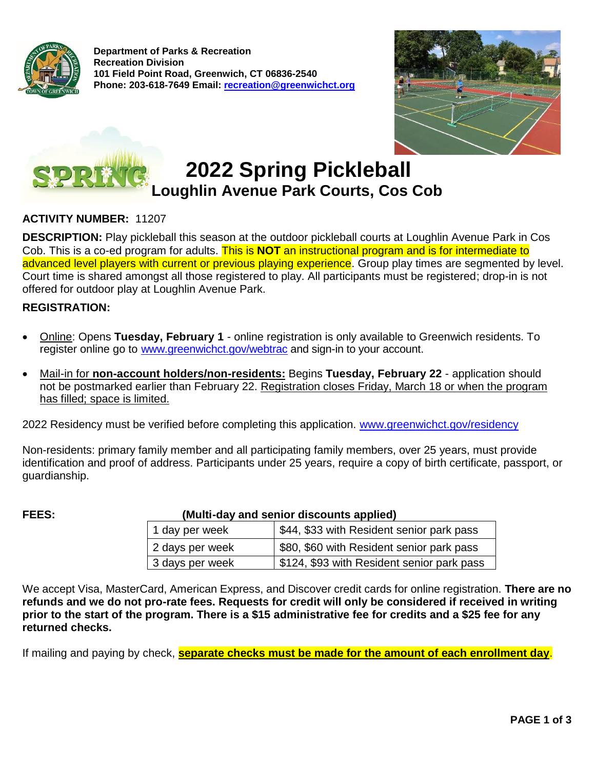

**Department of Parks & Recreation Recreation Division 101 Field Point Road, Greenwich, CT 06836-2540 Phone: 203-618-7649 Email: r[ecreation@greenwichct.org](mailto:Recreation@greenwichct.org)** • -





# **2022 Spring Pickleball Loughlin Avenue Park Courts, Cos Cob**

# **ACTIVITY NUMBER:** 11207

**DESCRIPTION:** Play pickleball this season at the outdoor pickleball courts at Loughlin Avenue Park in Cos Cob. This is a co-ed program for adults. This is **NOT** an instructional program and is for intermediate to advanced level players with current or previous playing experience. Group play times are segmented by level. Court time is shared amongst all those registered to play. All participants must be registered; drop-in is not offered for outdoor play at Loughlin Avenue Park.

#### **REGISTRATION:**

- Online: Opens **Tuesday, February 1** online registration is only available to Greenwich residents. To register online go to [www.greenwichct.gov/webtrac](http://www.greenwichct.gov/webtrac) and sign-in to your account.
- Mail-in for **non-account holders/non-residents:** Begins **Tuesday, February 22** application should not be postmarked earlier than February 22. Registration closes Friday, March 18 or when the program has filled; space is limited.

2022 Residency must be verified before completing this application. [www.greenwichct.gov/residency](http://www.greenwichct.gov/residency)

Non-residents: primary family member and all participating family members, over 25 years, must provide identification and proof of address. Participants under 25 years, require a copy of birth certificate, passport, or guardianship.

# **FEES: (Multi-day and senior discounts applied)**

| (Multi-day and senior discounts applied) |                                            |  |  |  |
|------------------------------------------|--------------------------------------------|--|--|--|
| 1 day per week                           | \$44, \$33 with Resident senior park pass  |  |  |  |
| 2 days per week                          | \$80, \$60 with Resident senior park pass  |  |  |  |
| 3 days per week                          | \$124, \$93 with Resident senior park pass |  |  |  |
|                                          |                                            |  |  |  |

We accept Visa, MasterCard, American Express, and Discover credit cards for online registration. **There are no refunds and we do not pro-rate fees. Requests for credit will only be considered if received in writing prior to the start of the program. There is a \$15 administrative fee for credits and a \$25 fee for any returned checks.** 

If mailing and paying by check, **separate checks must be made for the amount of each enrollment day**.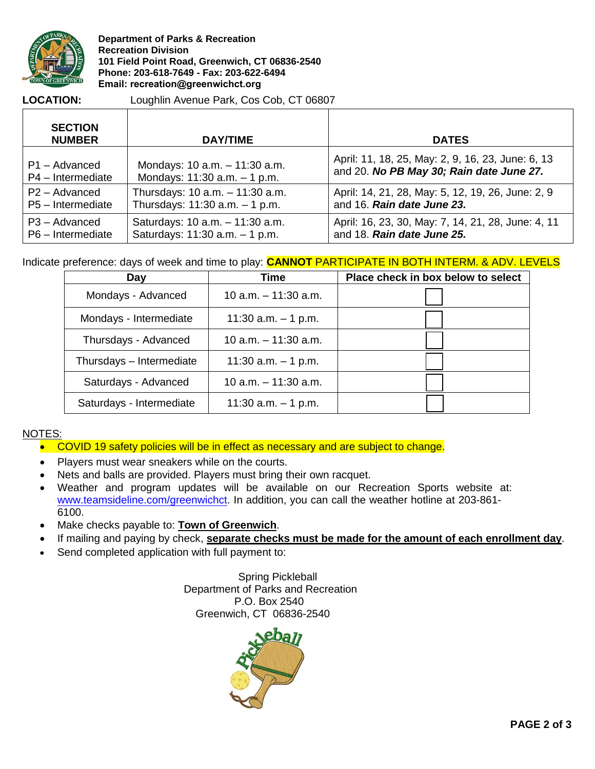

**Department of Parks & Recreation Recreation Division 101 Field Point Road, Greenwich, CT 06836-2540 Phone: 203-618-7649 - Fax: 203-622-6494**<br>
Phone: 203-618-7649 - Fax: 203-622-6494<br>
Email: recreation@greenwichct.org<br>
LOCATION: Loughlin Avenue Park, Cos Cob,

#### **LOCATION:**

Loughlin Avenue Park, Cos Cob, CT 06807

| <b>SECTION</b><br><b>NUMBER</b> | <b>DAY/TIME</b>                   | <b>DATES</b>                                       |
|---------------------------------|-----------------------------------|----------------------------------------------------|
| P1 - Advanced                   | Mondays: 10 a.m. - 11:30 a.m.     | April: 11, 18, 25, May: 2, 9, 16, 23, June: 6, 13  |
| P4 - Intermediate               | Mondays: $11:30$ a.m. $-1$ p.m.   | and 20. No PB May 30; Rain date June 27.           |
| P <sub>2</sub> – Advanced       | Thursdays: 10 a.m. - 11:30 a.m.   | April: 14, 21, 28, May: 5, 12, 19, 26, June: 2, 9  |
| P5 - Intermediate               | Thursdays: $11:30$ a.m. $-1$ p.m. | and 16. Rain date June 23.                         |
| $P3 - Advanced$                 | Saturdays: 10 a.m. - 11:30 a.m.   | April: 16, 23, 30, May: 7, 14, 21, 28, June: 4, 11 |
| P6 - Intermediate               | Saturdays: 11:30 a.m. - 1 p.m.    | and 18. Rain date June 25.                         |

# Indicate preference: days of week and time to play: **CANNOT** PARTICIPATE IN BOTH INTERM. & ADV. LEVELS

| Day                      | Time                   | Place check in box below to select |
|--------------------------|------------------------|------------------------------------|
| Mondays - Advanced       | 10 a.m. $-$ 11:30 a.m. |                                    |
| Mondays - Intermediate   | 11:30 a.m. $-$ 1 p.m.  |                                    |
| Thursdays - Advanced     | 10 a.m. $-$ 11:30 a.m. |                                    |
| Thursdays - Intermediate | 11:30 a.m. $-$ 1 p.m.  |                                    |
| Saturdays - Advanced     | 10 a.m. $-$ 11:30 a.m. |                                    |
| Saturdays - Intermediate | 11:30 a.m. $-$ 1 p.m.  |                                    |

### NOTES:

- COVID 19 safety policies will be in effect as necessary and are subject to change.
- Players must wear sneakers while on the courts.
- Nets and balls are provided. Players must bring their own racquet.
- Weather and program updates will be available on our Recreation Sports website at: [www.teamsideline.com/greenwichct.](http://www.teamsideline.com/greenwichct) In addition, you can call the weather hotline at 203-861-6100.
- Make checks payable to: **Town of Greenwich**.
- If mailing and paying by check, **separate checks must be made for the amount of each enrollment day**.
- Send completed application with full payment to:

 Spring Pickleball Department of Parks and Recreation P.O. Box 2540 Greenwich, CT 06836-2540